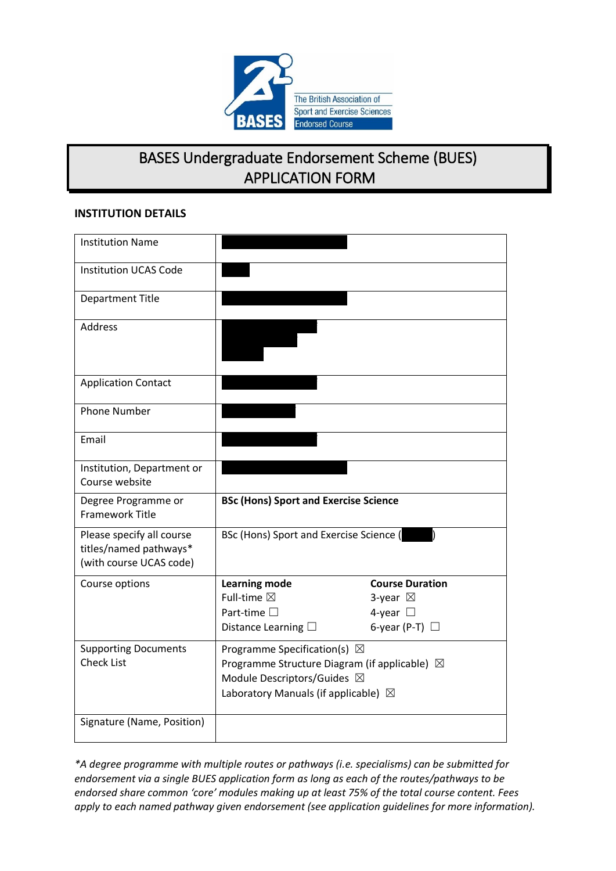

### BASES Undergraduate Endorsement Scheme (BUES) APPLICATION FORM

#### **INSTITUTION DETAILS**

| <b>Institution Name</b>                                                        |                                                         |                        |  |
|--------------------------------------------------------------------------------|---------------------------------------------------------|------------------------|--|
| <b>Institution UCAS Code</b>                                                   |                                                         |                        |  |
| <b>Department Title</b>                                                        |                                                         |                        |  |
| Address                                                                        |                                                         |                        |  |
| <b>Application Contact</b>                                                     |                                                         |                        |  |
| <b>Phone Number</b>                                                            |                                                         |                        |  |
| Email                                                                          |                                                         |                        |  |
| Institution, Department or<br>Course website                                   |                                                         |                        |  |
| Degree Programme or<br><b>Framework Title</b>                                  | <b>BSc (Hons) Sport and Exercise Science</b>            |                        |  |
| Please specify all course<br>titles/named pathways*<br>(with course UCAS code) | BSc (Hons) Sport and Exercise Science (                 |                        |  |
| Course options                                                                 | <b>Learning mode</b>                                    | <b>Course Duration</b> |  |
|                                                                                | Full-time ⊠                                             | 3-year $\boxtimes$     |  |
|                                                                                | Part-time $\square$                                     | 4-year $\Box$          |  |
|                                                                                | Distance Learning $\square$                             | 6-year (P-T) $\Box$    |  |
| <b>Supporting Documents</b>                                                    | Programme Specification(s) $\boxtimes$                  |                        |  |
| <b>Check List</b>                                                              | Programme Structure Diagram (if applicable) $\boxtimes$ |                        |  |
|                                                                                | Module Descriptors/Guides ⊠                             |                        |  |
|                                                                                | Laboratory Manuals (if applicable) $\boxtimes$          |                        |  |
| Signature (Name, Position)                                                     |                                                         |                        |  |

*\*A degree programme with multiple routes or pathways (i.e. specialisms) can be submitted for endorsement via a single BUES application form as long as each of the routes/pathways to be endorsed share common 'core' modules making up at least 75% of the total course content. Fees apply to each named pathway given endorsement (see application guidelines for more information).*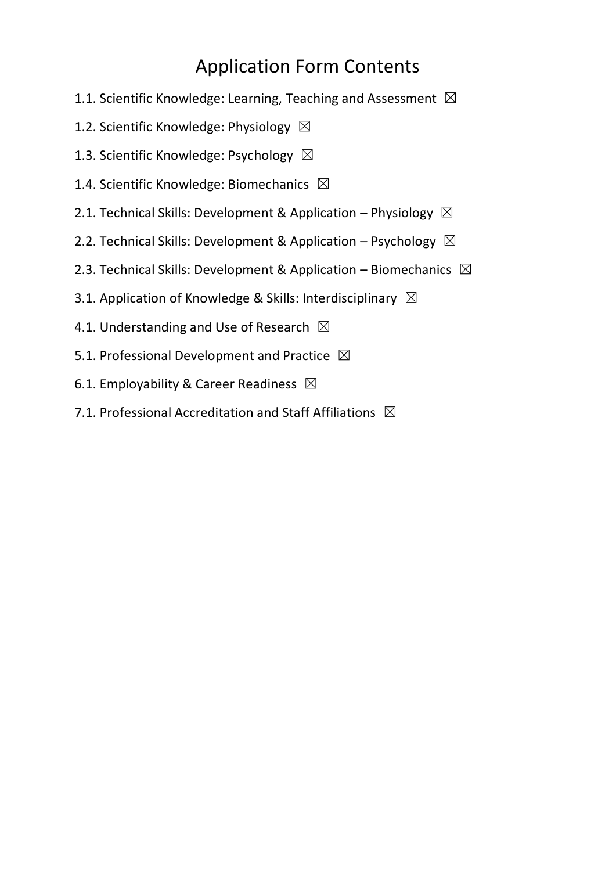### Application Form Contents

- 1.1. Scientific Knowledge: Learning, Teaching and Assessment  $\boxtimes$
- 1.2. Scientific Knowledge: Physiology  $\boxtimes$
- 1.3. Scientific Knowledge: Psychology  $\boxtimes$
- 1.4. Scientific Knowledge: Biomechanics  $\boxtimes$
- 2.1. Technical Skills: Development & Application Physiology  $\boxtimes$
- 2.2. Technical Skills: Development & Application Psychology  $\boxtimes$
- 2.3. Technical Skills: Development & Application Biomechanics  $\boxtimes$
- 3.1. Application of Knowledge & Skills: Interdisciplinary  $\boxtimes$
- 4.1. Understanding and Use of Research  $\boxtimes$
- 5.1. Professional Development and Practice  $\boxtimes$
- 6.1. Employability & Career Readiness  $\boxtimes$
- 7.1. Professional Accreditation and Staff Affiliations  $\boxtimes$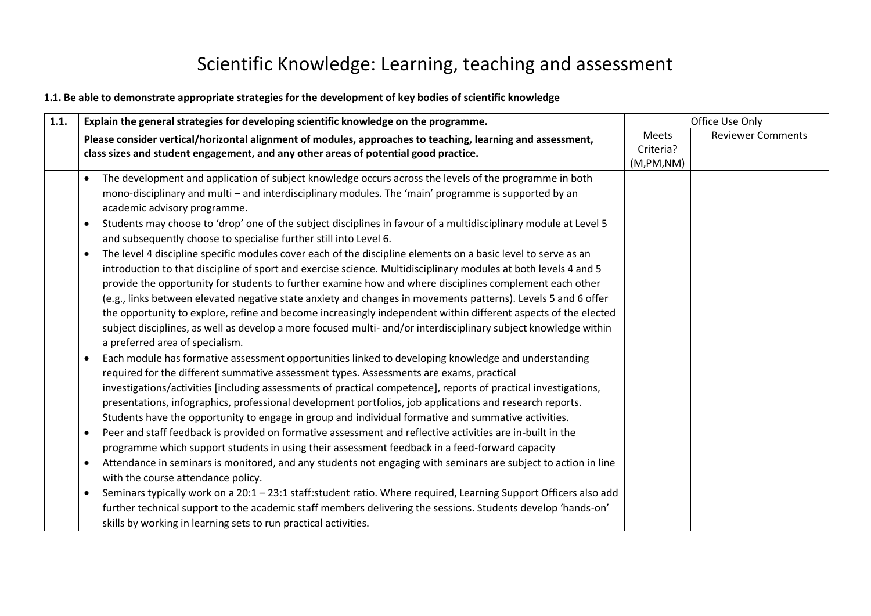### Scientific Knowledge: Learning, teaching and assessment

### **1.1. Be able to demonstrate appropriate strategies for the development of key bodies of scientific knowledge**

| 1.1. | Explain the general strategies for developing scientific knowledge on the programme.                                                                                                                                                                                                                                                                                                                                                                                                                                                                                                                                                                                                                                                              |                                  | Office Use Only          |  |
|------|---------------------------------------------------------------------------------------------------------------------------------------------------------------------------------------------------------------------------------------------------------------------------------------------------------------------------------------------------------------------------------------------------------------------------------------------------------------------------------------------------------------------------------------------------------------------------------------------------------------------------------------------------------------------------------------------------------------------------------------------------|----------------------------------|--------------------------|--|
|      | Please consider vertical/horizontal alignment of modules, approaches to teaching, learning and assessment,<br>class sizes and student engagement, and any other areas of potential good practice.                                                                                                                                                                                                                                                                                                                                                                                                                                                                                                                                                 | Meets<br>Criteria?<br>(M,PM, NM) | <b>Reviewer Comments</b> |  |
|      | The development and application of subject knowledge occurs across the levels of the programme in both<br>$\bullet$<br>mono-disciplinary and multi - and interdisciplinary modules. The 'main' programme is supported by an<br>academic advisory programme.                                                                                                                                                                                                                                                                                                                                                                                                                                                                                       |                                  |                          |  |
|      | Students may choose to 'drop' one of the subject disciplines in favour of a multidisciplinary module at Level 5<br>$\bullet$<br>and subsequently choose to specialise further still into Level 6.                                                                                                                                                                                                                                                                                                                                                                                                                                                                                                                                                 |                                  |                          |  |
|      | The level 4 discipline specific modules cover each of the discipline elements on a basic level to serve as an<br>$\bullet$<br>introduction to that discipline of sport and exercise science. Multidisciplinary modules at both levels 4 and 5<br>provide the opportunity for students to further examine how and where disciplines complement each other<br>(e.g., links between elevated negative state anxiety and changes in movements patterns). Levels 5 and 6 offer<br>the opportunity to explore, refine and become increasingly independent within different aspects of the elected<br>subject disciplines, as well as develop a more focused multi- and/or interdisciplinary subject knowledge within<br>a preferred area of specialism. |                                  |                          |  |
|      | Each module has formative assessment opportunities linked to developing knowledge and understanding<br>required for the different summative assessment types. Assessments are exams, practical<br>investigations/activities [including assessments of practical competence], reports of practical investigations,<br>presentations, infographics, professional development portfolios, job applications and research reports.<br>Students have the opportunity to engage in group and individual formative and summative activities.                                                                                                                                                                                                              |                                  |                          |  |
|      | Peer and staff feedback is provided on formative assessment and reflective activities are in-built in the<br>$\bullet$<br>programme which support students in using their assessment feedback in a feed-forward capacity<br>Attendance in seminars is monitored, and any students not engaging with seminars are subject to action in line                                                                                                                                                                                                                                                                                                                                                                                                        |                                  |                          |  |
|      | with the course attendance policy.<br>Seminars typically work on a 20:1 - 23:1 staff:student ratio. Where required, Learning Support Officers also add<br>$\bullet$<br>further technical support to the academic staff members delivering the sessions. Students develop 'hands-on'<br>skills by working in learning sets to run practical activities.                                                                                                                                                                                                                                                                                                                                                                                            |                                  |                          |  |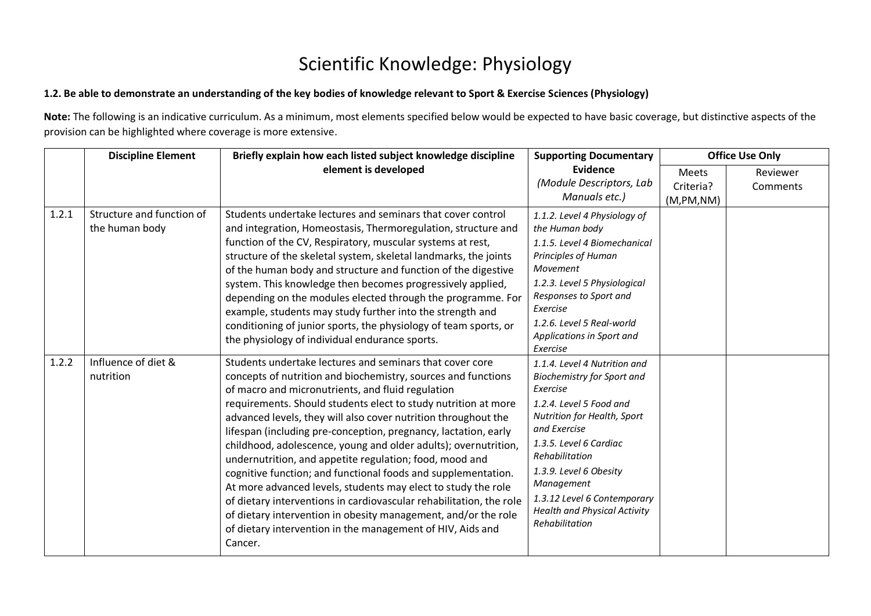### Scientific Knowledge: Physiology

#### **1.2. Be able to demonstrate an understanding of the key bodies of knowledge relevant to Sport & Exercise Sciences (Physiology)**

**Note:** The following is an indicative curriculum. As a minimum, most elements specified below would be expected to have basic coverage, but distinctive aspects of the provision can be highlighted where coverage is more extensive.

|       | <b>Discipline Element</b>                   | Briefly explain how each listed subject knowledge discipline                                                                                                                                                                                                                                                                                                                                                                                                                                                                                                                                                                                                                                                                                                                                                                                                            | <b>Supporting Documentary</b>                                                                                                                                                                                                                                                                                                       | <b>Office Use Only</b>                  |                      |
|-------|---------------------------------------------|-------------------------------------------------------------------------------------------------------------------------------------------------------------------------------------------------------------------------------------------------------------------------------------------------------------------------------------------------------------------------------------------------------------------------------------------------------------------------------------------------------------------------------------------------------------------------------------------------------------------------------------------------------------------------------------------------------------------------------------------------------------------------------------------------------------------------------------------------------------------------|-------------------------------------------------------------------------------------------------------------------------------------------------------------------------------------------------------------------------------------------------------------------------------------------------------------------------------------|-----------------------------------------|----------------------|
|       |                                             | element is developed                                                                                                                                                                                                                                                                                                                                                                                                                                                                                                                                                                                                                                                                                                                                                                                                                                                    | Evidence<br>(Module Descriptors, Lab<br>Manuals etc.)                                                                                                                                                                                                                                                                               | <b>Meets</b><br>Criteria?<br>(M,PM, NM) | Reviewer<br>Comments |
| 1.2.1 | Structure and function of<br>the human body | Students undertake lectures and seminars that cover control<br>and integration, Homeostasis, Thermoregulation, structure and<br>function of the CV, Respiratory, muscular systems at rest,<br>structure of the skeletal system, skeletal landmarks, the joints<br>of the human body and structure and function of the digestive<br>system. This knowledge then becomes progressively applied,<br>depending on the modules elected through the programme. For<br>example, students may study further into the strength and<br>conditioning of junior sports, the physiology of team sports, or<br>the physiology of individual endurance sports.                                                                                                                                                                                                                         | 1.1.2. Level 4 Physiology of<br>the Human body<br>1.1.5. Level 4 Biomechanical<br>Principles of Human<br>Movement<br>1.2.3. Level 5 Physiological<br>Responses to Sport and<br>Exercise<br>1.2.6. Level 5 Real-world<br>Applications in Sport and<br>Exercise                                                                       |                                         |                      |
| 1.2.2 | Influence of diet &<br>nutrition            | Students undertake lectures and seminars that cover core<br>concepts of nutrition and biochemistry, sources and functions<br>of macro and micronutrients, and fluid regulation<br>requirements. Should students elect to study nutrition at more<br>advanced levels, they will also cover nutrition throughout the<br>lifespan (including pre-conception, pregnancy, lactation, early<br>childhood, adolescence, young and older adults); overnutrition,<br>undernutrition, and appetite regulation; food, mood and<br>cognitive function; and functional foods and supplementation.<br>At more advanced levels, students may elect to study the role<br>of dietary interventions in cardiovascular rehabilitation, the role<br>of dietary intervention in obesity management, and/or the role<br>of dietary intervention in the management of HIV, Aids and<br>Cancer. | 1.1.4. Level 4 Nutrition and<br><b>Biochemistry for Sport and</b><br>Exercise<br>1.2.4. Level 5 Food and<br>Nutrition for Health, Sport<br>and Exercise<br>1.3.5. Level 6 Cardiac<br>Rehabilitation<br>1.3.9. Level 6 Obesity<br>Management<br>1.3.12 Level 6 Contemporary<br><b>Health and Physical Activity</b><br>Rehabilitation |                                         |                      |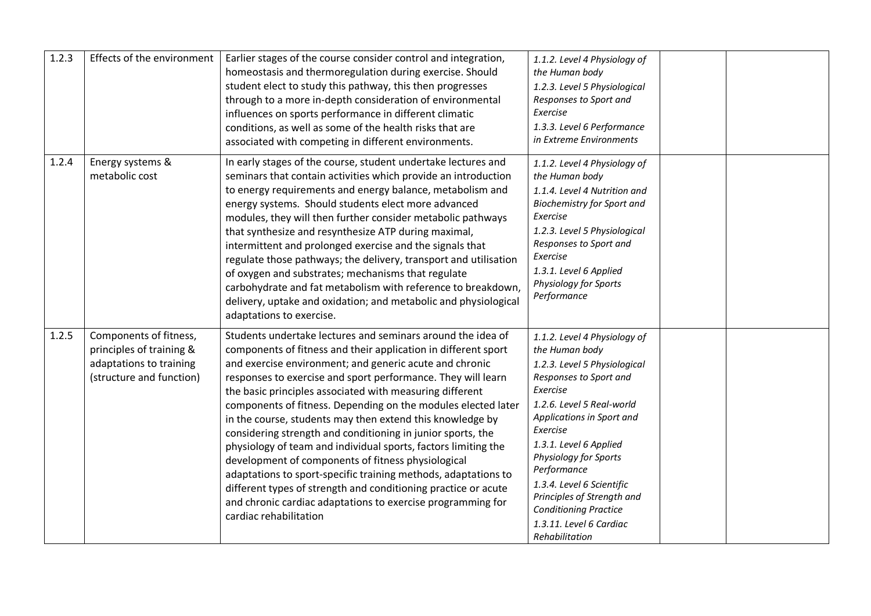| 1.2.3 | Effects of the environment                                                                                | Earlier stages of the course consider control and integration,<br>homeostasis and thermoregulation during exercise. Should<br>student elect to study this pathway, this then progresses<br>through to a more in-depth consideration of environmental<br>influences on sports performance in different climatic<br>conditions, as well as some of the health risks that are<br>associated with competing in different environments.                                                                                                                                                                                                                                                                                                                                                                                                                                     | 1.1.2. Level 4 Physiology of<br>the Human body<br>1.2.3. Level 5 Physiological<br>Responses to Sport and<br>Exercise<br>1.3.3. Level 6 Performance<br>in Extreme Environments                                                                                                                                                                                                                        |  |
|-------|-----------------------------------------------------------------------------------------------------------|------------------------------------------------------------------------------------------------------------------------------------------------------------------------------------------------------------------------------------------------------------------------------------------------------------------------------------------------------------------------------------------------------------------------------------------------------------------------------------------------------------------------------------------------------------------------------------------------------------------------------------------------------------------------------------------------------------------------------------------------------------------------------------------------------------------------------------------------------------------------|------------------------------------------------------------------------------------------------------------------------------------------------------------------------------------------------------------------------------------------------------------------------------------------------------------------------------------------------------------------------------------------------------|--|
| 1.2.4 | Energy systems &<br>metabolic cost                                                                        | In early stages of the course, student undertake lectures and<br>seminars that contain activities which provide an introduction<br>to energy requirements and energy balance, metabolism and<br>energy systems. Should students elect more advanced<br>modules, they will then further consider metabolic pathways<br>that synthesize and resynthesize ATP during maximal,<br>intermittent and prolonged exercise and the signals that<br>regulate those pathways; the delivery, transport and utilisation<br>of oxygen and substrates; mechanisms that regulate<br>carbohydrate and fat metabolism with reference to breakdown,<br>delivery, uptake and oxidation; and metabolic and physiological<br>adaptations to exercise.                                                                                                                                        | 1.1.2. Level 4 Physiology of<br>the Human body<br>1.1.4. Level 4 Nutrition and<br><b>Biochemistry for Sport and</b><br>Exercise<br>1.2.3. Level 5 Physiological<br>Responses to Sport and<br>Exercise<br>1.3.1. Level 6 Applied<br>Physiology for Sports<br>Performance                                                                                                                              |  |
| 1.2.5 | Components of fitness,<br>principles of training &<br>adaptations to training<br>(structure and function) | Students undertake lectures and seminars around the idea of<br>components of fitness and their application in different sport<br>and exercise environment; and generic acute and chronic<br>responses to exercise and sport performance. They will learn<br>the basic principles associated with measuring different<br>components of fitness. Depending on the modules elected later<br>in the course, students may then extend this knowledge by<br>considering strength and conditioning in junior sports, the<br>physiology of team and individual sports, factors limiting the<br>development of components of fitness physiological<br>adaptations to sport-specific training methods, adaptations to<br>different types of strength and conditioning practice or acute<br>and chronic cardiac adaptations to exercise programming for<br>cardiac rehabilitation | 1.1.2. Level 4 Physiology of<br>the Human body<br>1.2.3. Level 5 Physiological<br>Responses to Sport and<br>Exercise<br>1.2.6. Level 5 Real-world<br>Applications in Sport and<br>Exercise<br>1.3.1. Level 6 Applied<br>Physiology for Sports<br>Performance<br>1.3.4. Level 6 Scientific<br>Principles of Strength and<br><b>Conditioning Practice</b><br>1.3.11. Level 6 Cardiac<br>Rehabilitation |  |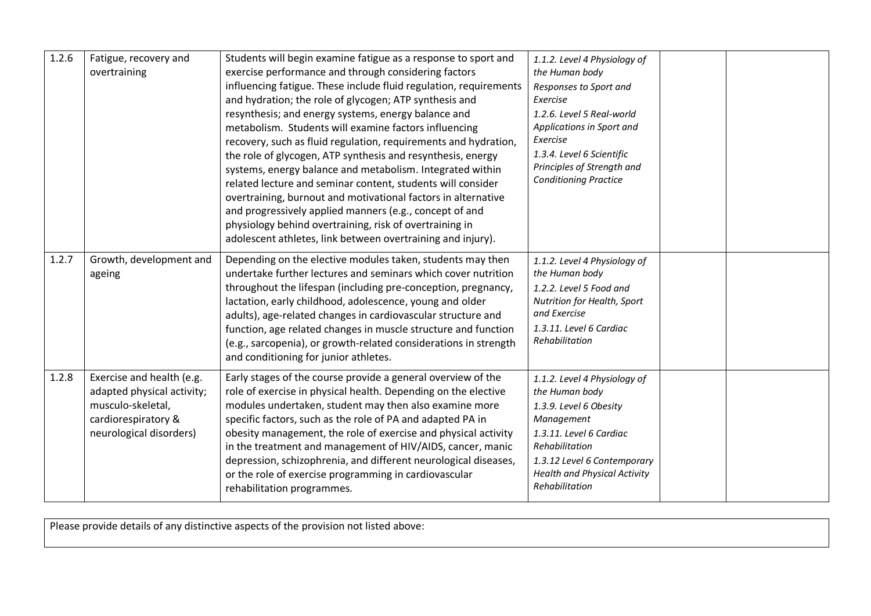| 1.2.6 | Fatigue, recovery and<br>overtraining                                                                                          | Students will begin examine fatigue as a response to sport and<br>exercise performance and through considering factors<br>influencing fatigue. These include fluid regulation, requirements<br>and hydration; the role of glycogen; ATP synthesis and<br>resynthesis; and energy systems, energy balance and<br>metabolism. Students will examine factors influencing<br>recovery, such as fluid regulation, requirements and hydration,<br>the role of glycogen, ATP synthesis and resynthesis, energy<br>systems, energy balance and metabolism. Integrated within<br>related lecture and seminar content, students will consider<br>overtraining, burnout and motivational factors in alternative<br>and progressively applied manners (e.g., concept of and<br>physiology behind overtraining, risk of overtraining in<br>adolescent athletes, link between overtraining and injury). | 1.1.2. Level 4 Physiology of<br>the Human body<br>Responses to Sport and<br>Exercise<br>1.2.6. Level 5 Real-world<br>Applications in Sport and<br>Exercise<br>1.3.4. Level 6 Scientific<br>Principles of Strength and<br><b>Conditioning Practice</b> |  |
|-------|--------------------------------------------------------------------------------------------------------------------------------|-------------------------------------------------------------------------------------------------------------------------------------------------------------------------------------------------------------------------------------------------------------------------------------------------------------------------------------------------------------------------------------------------------------------------------------------------------------------------------------------------------------------------------------------------------------------------------------------------------------------------------------------------------------------------------------------------------------------------------------------------------------------------------------------------------------------------------------------------------------------------------------------|-------------------------------------------------------------------------------------------------------------------------------------------------------------------------------------------------------------------------------------------------------|--|
| 1.2.7 | Growth, development and<br>ageing                                                                                              | Depending on the elective modules taken, students may then<br>undertake further lectures and seminars which cover nutrition<br>throughout the lifespan (including pre-conception, pregnancy,<br>lactation, early childhood, adolescence, young and older<br>adults), age-related changes in cardiovascular structure and<br>function, age related changes in muscle structure and function<br>(e.g., sarcopenia), or growth-related considerations in strength<br>and conditioning for junior athletes.                                                                                                                                                                                                                                                                                                                                                                                   | 1.1.2. Level 4 Physiology of<br>the Human body<br>1.2.2. Level 5 Food and<br>Nutrition for Health, Sport<br>and Exercise<br>1.3.11. Level 6 Cardiac<br>Rehabilitation                                                                                 |  |
| 1.2.8 | Exercise and health (e.g.<br>adapted physical activity;<br>musculo-skeletal,<br>cardiorespiratory &<br>neurological disorders) | Early stages of the course provide a general overview of the<br>role of exercise in physical health. Depending on the elective<br>modules undertaken, student may then also examine more<br>specific factors, such as the role of PA and adapted PA in<br>obesity management, the role of exercise and physical activity<br>in the treatment and management of HIV/AIDS, cancer, manic<br>depression, schizophrenia, and different neurological diseases,<br>or the role of exercise programming in cardiovascular<br>rehabilitation programmes.                                                                                                                                                                                                                                                                                                                                          | 1.1.2. Level 4 Physiology of<br>the Human body<br>1.3.9. Level 6 Obesity<br>Management<br>1.3.11. Level 6 Cardiac<br>Rehabilitation<br>1.3.12 Level 6 Contemporary<br><b>Health and Physical Activity</b><br>Rehabilitation                           |  |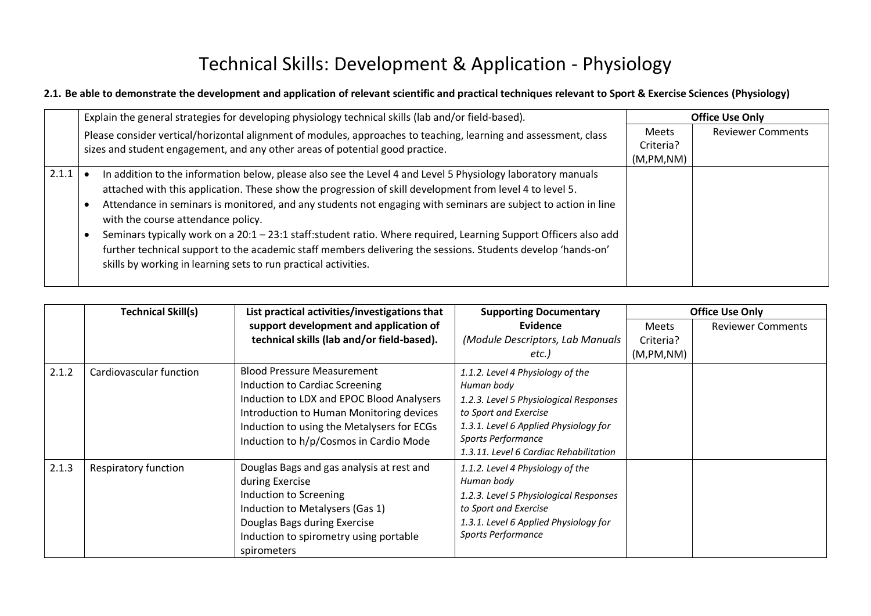# Technical Skills: Development & Application - Physiology

### **2.1. Be able to demonstrate the development and application of relevant scientific and practical techniques relevant to Sport & Exercise Sciences (Physiology)**

|       | Explain the general strategies for developing physiology technical skills (lab and/or field-based).                                                  |            | <b>Office Use Only</b>   |
|-------|------------------------------------------------------------------------------------------------------------------------------------------------------|------------|--------------------------|
|       | Please consider vertical/horizontal alignment of modules, approaches to teaching, learning and assessment, class                                     |            | <b>Reviewer Comments</b> |
|       | sizes and student engagement, and any other areas of potential good practice.                                                                        | Criteria?  |                          |
|       |                                                                                                                                                      | (M,PM, NM) |                          |
| 2.1.1 | In addition to the information below, please also see the Level 4 and Level 5 Physiology laboratory manuals                                          |            |                          |
|       | attached with this application. These show the progression of skill development from level 4 to level 5.                                             |            |                          |
|       | Attendance in seminars is monitored, and any students not engaging with seminars are subject to action in line<br>with the course attendance policy. |            |                          |
|       | Seminars typically work on a 20:1 - 23:1 staff:student ratio. Where required, Learning Support Officers also add                                     |            |                          |
|       | further technical support to the academic staff members delivering the sessions. Students develop 'hands-on'                                         |            |                          |
|       | skills by working in learning sets to run practical activities.                                                                                      |            |                          |
|       |                                                                                                                                                      |            |                          |

|       | <b>Technical Skill(s)</b>   | List practical activities/investigations that                                                                                                                                                                      | <b>Supporting Documentary</b>                                                                                                                                                    | <b>Office Use Only</b> |                          |
|-------|-----------------------------|--------------------------------------------------------------------------------------------------------------------------------------------------------------------------------------------------------------------|----------------------------------------------------------------------------------------------------------------------------------------------------------------------------------|------------------------|--------------------------|
|       |                             | support development and application of                                                                                                                                                                             | Evidence                                                                                                                                                                         | <b>Meets</b>           | <b>Reviewer Comments</b> |
|       |                             | technical skills (lab and/or field-based).                                                                                                                                                                         | (Module Descriptors, Lab Manuals                                                                                                                                                 | Criteria?              |                          |
|       |                             |                                                                                                                                                                                                                    | etc.)                                                                                                                                                                            | (M,PM, NM)             |                          |
| 2.1.2 | Cardiovascular function     | <b>Blood Pressure Measurement</b><br>Induction to Cardiac Screening<br>Induction to LDX and EPOC Blood Analysers                                                                                                   | 1.1.2. Level 4 Physiology of the<br>Human body<br>1.2.3. Level 5 Physiological Responses                                                                                         |                        |                          |
|       |                             | Introduction to Human Monitoring devices<br>Induction to using the Metalysers for ECGs<br>Induction to h/p/Cosmos in Cardio Mode                                                                                   | to Sport and Exercise<br>1.3.1. Level 6 Applied Physiology for<br>Sports Performance<br>1.3.11. Level 6 Cardiac Rehabilitation                                                   |                        |                          |
| 2.1.3 | <b>Respiratory function</b> | Douglas Bags and gas analysis at rest and<br>during Exercise<br>Induction to Screening<br>Induction to Metalysers (Gas 1)<br>Douglas Bags during Exercise<br>Induction to spirometry using portable<br>spirometers | 1.1.2. Level 4 Physiology of the<br>Human body<br>1.2.3. Level 5 Physiological Responses<br>to Sport and Exercise<br>1.3.1. Level 6 Applied Physiology for<br>Sports Performance |                        |                          |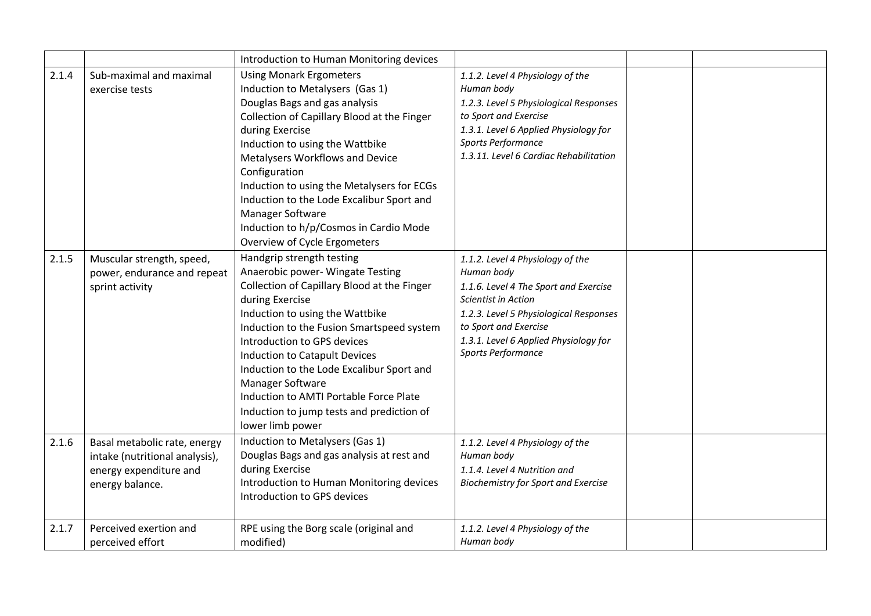|       |                                                                                                             | Introduction to Human Monitoring devices                                                                                                                                                                                                                                                                                                                                                                                                                    |                                                                                                                                                                                                                                                  |  |
|-------|-------------------------------------------------------------------------------------------------------------|-------------------------------------------------------------------------------------------------------------------------------------------------------------------------------------------------------------------------------------------------------------------------------------------------------------------------------------------------------------------------------------------------------------------------------------------------------------|--------------------------------------------------------------------------------------------------------------------------------------------------------------------------------------------------------------------------------------------------|--|
| 2.1.4 | Sub-maximal and maximal<br>exercise tests                                                                   | <b>Using Monark Ergometers</b><br>Induction to Metalysers (Gas 1)<br>Douglas Bags and gas analysis<br>Collection of Capillary Blood at the Finger<br>during Exercise<br>Induction to using the Wattbike<br>Metalysers Workflows and Device<br>Configuration<br>Induction to using the Metalysers for ECGs<br>Induction to the Lode Excalibur Sport and<br>Manager Software<br>Induction to h/p/Cosmos in Cardio Mode<br>Overview of Cycle Ergometers        | 1.1.2. Level 4 Physiology of the<br>Human body<br>1.2.3. Level 5 Physiological Responses<br>to Sport and Exercise<br>1.3.1. Level 6 Applied Physiology for<br>Sports Performance<br>1.3.11. Level 6 Cardiac Rehabilitation                       |  |
| 2.1.5 | Muscular strength, speed,<br>power, endurance and repeat<br>sprint activity                                 | Handgrip strength testing<br>Anaerobic power- Wingate Testing<br>Collection of Capillary Blood at the Finger<br>during Exercise<br>Induction to using the Wattbike<br>Induction to the Fusion Smartspeed system<br>Introduction to GPS devices<br>Induction to Catapult Devices<br>Induction to the Lode Excalibur Sport and<br>Manager Software<br>Induction to AMTI Portable Force Plate<br>Induction to jump tests and prediction of<br>lower limb power | 1.1.2. Level 4 Physiology of the<br>Human body<br>1.1.6. Level 4 The Sport and Exercise<br>Scientist in Action<br>1.2.3. Level 5 Physiological Responses<br>to Sport and Exercise<br>1.3.1. Level 6 Applied Physiology for<br>Sports Performance |  |
| 2.1.6 | Basal metabolic rate, energy<br>intake (nutritional analysis),<br>energy expenditure and<br>energy balance. | Induction to Metalysers (Gas 1)<br>Douglas Bags and gas analysis at rest and<br>during Exercise<br>Introduction to Human Monitoring devices<br>Introduction to GPS devices                                                                                                                                                                                                                                                                                  | 1.1.2. Level 4 Physiology of the<br>Human body<br>1.1.4. Level 4 Nutrition and<br><b>Biochemistry for Sport and Exercise</b>                                                                                                                     |  |
| 2.1.7 | Perceived exertion and<br>perceived effort                                                                  | RPE using the Borg scale (original and<br>modified)                                                                                                                                                                                                                                                                                                                                                                                                         | 1.1.2. Level 4 Physiology of the<br>Human body                                                                                                                                                                                                   |  |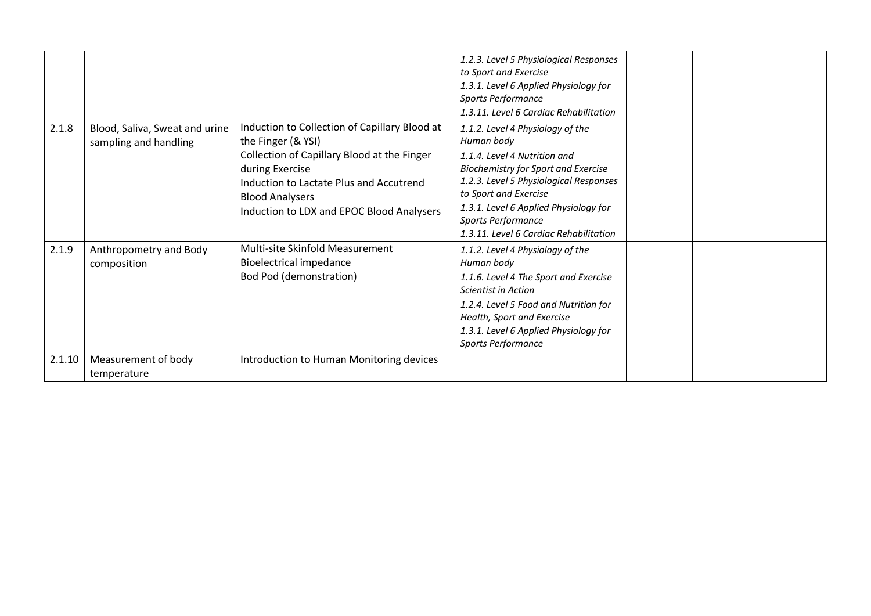|        |                                                         |                                                                                                                                                                                                                                                         | 1.2.3. Level 5 Physiological Responses<br>to Sport and Exercise<br>1.3.1. Level 6 Applied Physiology for<br>Sports Performance<br>1.3.11. Level 6 Cardiac Rehabilitation                                                                                                                                 |  |
|--------|---------------------------------------------------------|---------------------------------------------------------------------------------------------------------------------------------------------------------------------------------------------------------------------------------------------------------|----------------------------------------------------------------------------------------------------------------------------------------------------------------------------------------------------------------------------------------------------------------------------------------------------------|--|
| 2.1.8  | Blood, Saliva, Sweat and urine<br>sampling and handling | Induction to Collection of Capillary Blood at<br>the Finger (& YSI)<br>Collection of Capillary Blood at the Finger<br>during Exercise<br>Induction to Lactate Plus and Accutrend<br><b>Blood Analysers</b><br>Induction to LDX and EPOC Blood Analysers | 1.1.2. Level 4 Physiology of the<br>Human body<br>1.1.4. Level 4 Nutrition and<br><b>Biochemistry for Sport and Exercise</b><br>1.2.3. Level 5 Physiological Responses<br>to Sport and Exercise<br>1.3.1. Level 6 Applied Physiology for<br>Sports Performance<br>1.3.11. Level 6 Cardiac Rehabilitation |  |
| 2.1.9  | Anthropometry and Body<br>composition                   | Multi-site Skinfold Measurement<br><b>Bioelectrical impedance</b><br><b>Bod Pod (demonstration)</b>                                                                                                                                                     | 1.1.2. Level 4 Physiology of the<br>Human body<br>1.1.6. Level 4 The Sport and Exercise<br>Scientist in Action<br>1.2.4. Level 5 Food and Nutrition for<br>Health, Sport and Exercise<br>1.3.1. Level 6 Applied Physiology for<br>Sports Performance                                                     |  |
| 2.1.10 | Measurement of body<br>temperature                      | Introduction to Human Monitoring devices                                                                                                                                                                                                                |                                                                                                                                                                                                                                                                                                          |  |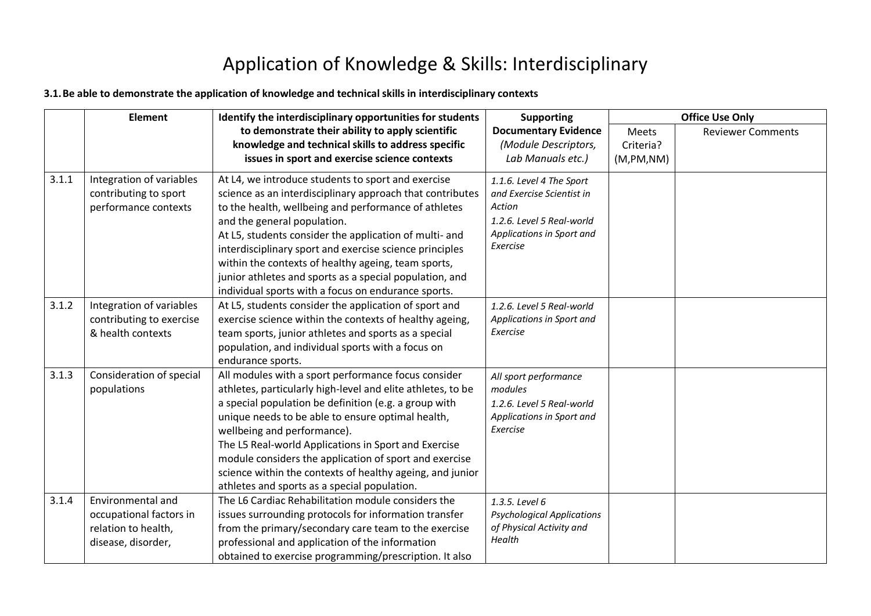### Application of Knowledge & Skills: Interdisciplinary

#### **3.1.Be able to demonstrate the application of knowledge and technical skills in interdisciplinary contexts**

|       | <b>Element</b>                                                                            | Identify the interdisciplinary opportunities for students                                                                                                                                                                                                                                                                                                                                                                                                                                      | <b>Supporting</b>                                                                                                                     |            | <b>Office Use Only</b>   |
|-------|-------------------------------------------------------------------------------------------|------------------------------------------------------------------------------------------------------------------------------------------------------------------------------------------------------------------------------------------------------------------------------------------------------------------------------------------------------------------------------------------------------------------------------------------------------------------------------------------------|---------------------------------------------------------------------------------------------------------------------------------------|------------|--------------------------|
|       |                                                                                           | to demonstrate their ability to apply scientific                                                                                                                                                                                                                                                                                                                                                                                                                                               | <b>Documentary Evidence</b>                                                                                                           | Meets      | <b>Reviewer Comments</b> |
|       |                                                                                           | knowledge and technical skills to address specific                                                                                                                                                                                                                                                                                                                                                                                                                                             | (Module Descriptors,                                                                                                                  | Criteria?  |                          |
|       |                                                                                           | issues in sport and exercise science contexts                                                                                                                                                                                                                                                                                                                                                                                                                                                  | Lab Manuals etc.)                                                                                                                     | (M,PM, NM) |                          |
| 3.1.1 | Integration of variables<br>contributing to sport<br>performance contexts                 | At L4, we introduce students to sport and exercise<br>science as an interdisciplinary approach that contributes<br>to the health, wellbeing and performance of athletes<br>and the general population.<br>At L5, students consider the application of multi- and<br>interdisciplinary sport and exercise science principles<br>within the contexts of healthy ageing, team sports,                                                                                                             | 1.1.6. Level 4 The Sport<br>and Exercise Scientist in<br>Action<br>1.2.6. Level 5 Real-world<br>Applications in Sport and<br>Exercise |            |                          |
|       |                                                                                           | junior athletes and sports as a special population, and<br>individual sports with a focus on endurance sports.                                                                                                                                                                                                                                                                                                                                                                                 |                                                                                                                                       |            |                          |
| 3.1.2 | Integration of variables<br>contributing to exercise<br>& health contexts                 | At L5, students consider the application of sport and<br>exercise science within the contexts of healthy ageing,<br>team sports, junior athletes and sports as a special<br>population, and individual sports with a focus on<br>endurance sports.                                                                                                                                                                                                                                             | 1.2.6. Level 5 Real-world<br>Applications in Sport and<br>Exercise                                                                    |            |                          |
| 3.1.3 | Consideration of special<br>populations                                                   | All modules with a sport performance focus consider<br>athletes, particularly high-level and elite athletes, to be<br>a special population be definition (e.g. a group with<br>unique needs to be able to ensure optimal health,<br>wellbeing and performance).<br>The L5 Real-world Applications in Sport and Exercise<br>module considers the application of sport and exercise<br>science within the contexts of healthy ageing, and junior<br>athletes and sports as a special population. | All sport performance<br>modules<br>1.2.6. Level 5 Real-world<br>Applications in Sport and<br>Exercise                                |            |                          |
| 3.1.4 | Environmental and<br>occupational factors in<br>relation to health,<br>disease, disorder, | The L6 Cardiac Rehabilitation module considers the<br>issues surrounding protocols for information transfer<br>from the primary/secondary care team to the exercise<br>professional and application of the information<br>obtained to exercise programming/prescription. It also                                                                                                                                                                                                               | 1.3.5. Level 6<br><b>Psychological Applications</b><br>of Physical Activity and<br>Health                                             |            |                          |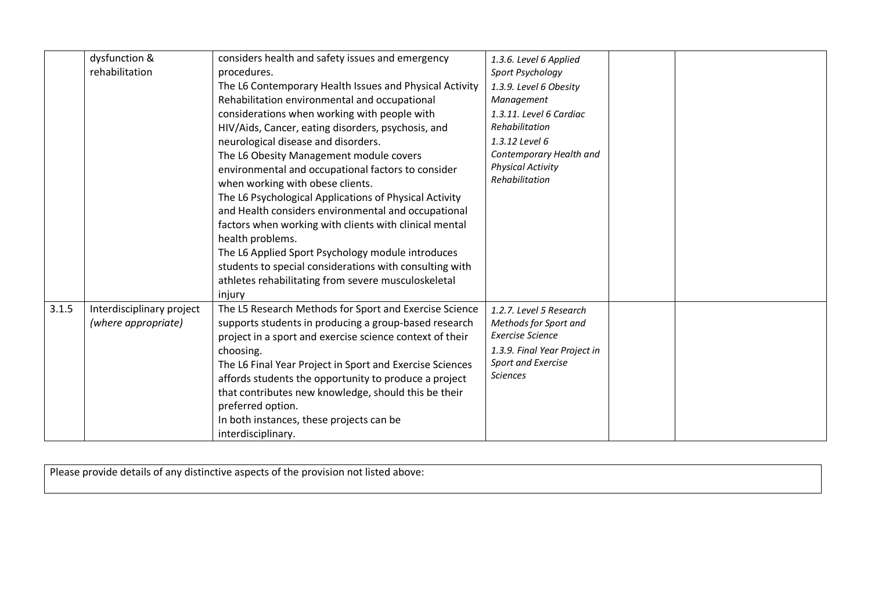|       | dysfunction &             | considers health and safety issues and emergency         | 1.3.6. Level 6 Applied       |  |
|-------|---------------------------|----------------------------------------------------------|------------------------------|--|
|       | rehabilitation            | procedures.                                              | Sport Psychology             |  |
|       |                           | The L6 Contemporary Health Issues and Physical Activity  | 1.3.9. Level 6 Obesity       |  |
|       |                           | Rehabilitation environmental and occupational            | Management                   |  |
|       |                           | considerations when working with people with             | 1.3.11. Level 6 Cardiac      |  |
|       |                           | HIV/Aids, Cancer, eating disorders, psychosis, and       | Rehabilitation               |  |
|       |                           | neurological disease and disorders.                      | 1.3.12 Level 6               |  |
|       |                           | The L6 Obesity Management module covers                  | Contemporary Health and      |  |
|       |                           | environmental and occupational factors to consider       | <b>Physical Activity</b>     |  |
|       |                           | when working with obese clients.                         | Rehabilitation               |  |
|       |                           | The L6 Psychological Applications of Physical Activity   |                              |  |
|       |                           | and Health considers environmental and occupational      |                              |  |
|       |                           | factors when working with clients with clinical mental   |                              |  |
|       |                           | health problems.                                         |                              |  |
|       |                           | The L6 Applied Sport Psychology module introduces        |                              |  |
|       |                           | students to special considerations with consulting with  |                              |  |
|       |                           | athletes rehabilitating from severe musculoskeletal      |                              |  |
|       |                           | injury                                                   |                              |  |
| 3.1.5 | Interdisciplinary project | The L5 Research Methods for Sport and Exercise Science   | 1.2.7. Level 5 Research      |  |
|       | (where appropriate)       | supports students in producing a group-based research    | Methods for Sport and        |  |
|       |                           | project in a sport and exercise science context of their | <b>Exercise Science</b>      |  |
|       |                           | choosing.                                                | 1.3.9. Final Year Project in |  |
|       |                           | The L6 Final Year Project in Sport and Exercise Sciences | Sport and Exercise           |  |
|       |                           | affords students the opportunity to produce a project    | <b>Sciences</b>              |  |
|       |                           | that contributes new knowledge, should this be their     |                              |  |
|       |                           | preferred option.                                        |                              |  |
|       |                           | In both instances, these projects can be                 |                              |  |
|       |                           | interdisciplinary.                                       |                              |  |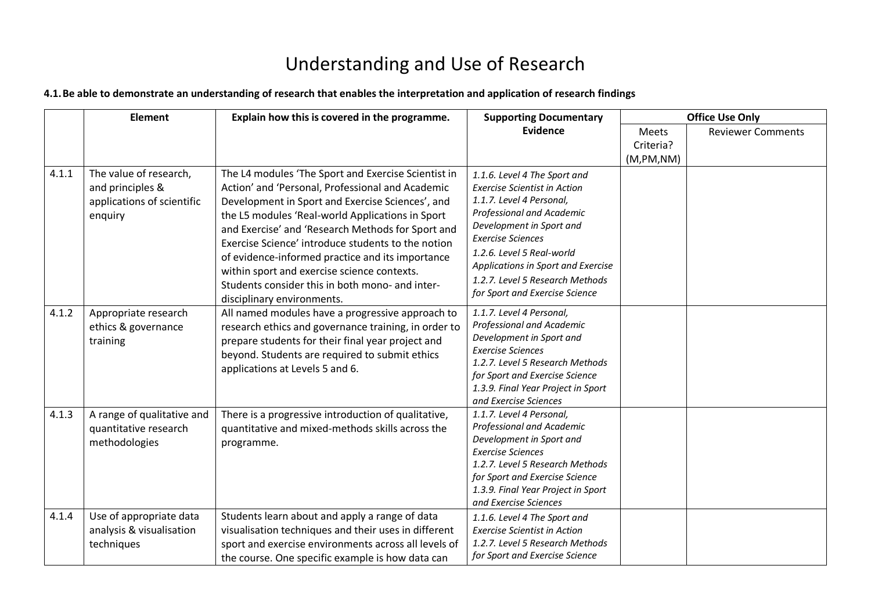# Understanding and Use of Research

#### **4.1.Be able to demonstrate an understanding of research that enables the interpretation and application of research findings**

|       | <b>Element</b>                                                                      | Explain how this is covered in the programme.                                                                                                                                                                                                                                                                                                                                                                                                                                                                  | <b>Supporting Documentary</b>                                                                                                                                                                                                                                                                                                |                         | <b>Office Use Only</b>   |
|-------|-------------------------------------------------------------------------------------|----------------------------------------------------------------------------------------------------------------------------------------------------------------------------------------------------------------------------------------------------------------------------------------------------------------------------------------------------------------------------------------------------------------------------------------------------------------------------------------------------------------|------------------------------------------------------------------------------------------------------------------------------------------------------------------------------------------------------------------------------------------------------------------------------------------------------------------------------|-------------------------|--------------------------|
|       |                                                                                     |                                                                                                                                                                                                                                                                                                                                                                                                                                                                                                                | <b>Evidence</b>                                                                                                                                                                                                                                                                                                              | <b>Meets</b>            | <b>Reviewer Comments</b> |
|       |                                                                                     |                                                                                                                                                                                                                                                                                                                                                                                                                                                                                                                |                                                                                                                                                                                                                                                                                                                              | Criteria?<br>(M,PM, NM) |                          |
| 4.1.1 | The value of research,<br>and principles &<br>applications of scientific<br>enquiry | The L4 modules 'The Sport and Exercise Scientist in<br>Action' and 'Personal, Professional and Academic<br>Development in Sport and Exercise Sciences', and<br>the L5 modules 'Real-world Applications in Sport<br>and Exercise' and 'Research Methods for Sport and<br>Exercise Science' introduce students to the notion<br>of evidence-informed practice and its importance<br>within sport and exercise science contexts.<br>Students consider this in both mono- and inter-<br>disciplinary environments. | 1.1.6. Level 4 The Sport and<br><b>Exercise Scientist in Action</b><br>1.1.7. Level 4 Personal,<br>Professional and Academic<br>Development in Sport and<br><b>Exercise Sciences</b><br>1.2.6. Level 5 Real-world<br>Applications in Sport and Exercise<br>1.2.7. Level 5 Research Methods<br>for Sport and Exercise Science |                         |                          |
| 4.1.2 | Appropriate research<br>ethics & governance<br>training                             | All named modules have a progressive approach to<br>research ethics and governance training, in order to<br>prepare students for their final year project and<br>beyond. Students are required to submit ethics<br>applications at Levels 5 and 6.                                                                                                                                                                                                                                                             | 1.1.7. Level 4 Personal,<br>Professional and Academic<br>Development in Sport and<br><b>Exercise Sciences</b><br>1.2.7. Level 5 Research Methods<br>for Sport and Exercise Science<br>1.3.9. Final Year Project in Sport<br>and Exercise Sciences                                                                            |                         |                          |
| 4.1.3 | A range of qualitative and<br>quantitative research<br>methodologies                | There is a progressive introduction of qualitative,<br>quantitative and mixed-methods skills across the<br>programme.                                                                                                                                                                                                                                                                                                                                                                                          | 1.1.7. Level 4 Personal,<br>Professional and Academic<br>Development in Sport and<br>Exercise Sciences<br>1.2.7. Level 5 Research Methods<br>for Sport and Exercise Science<br>1.3.9. Final Year Project in Sport<br>and Exercise Sciences                                                                                   |                         |                          |
| 4.1.4 | Use of appropriate data<br>analysis & visualisation<br>techniques                   | Students learn about and apply a range of data<br>visualisation techniques and their uses in different<br>sport and exercise environments across all levels of<br>the course. One specific example is how data can                                                                                                                                                                                                                                                                                             | 1.1.6. Level 4 The Sport and<br><b>Exercise Scientist in Action</b><br>1.2.7. Level 5 Research Methods<br>for Sport and Exercise Science                                                                                                                                                                                     |                         |                          |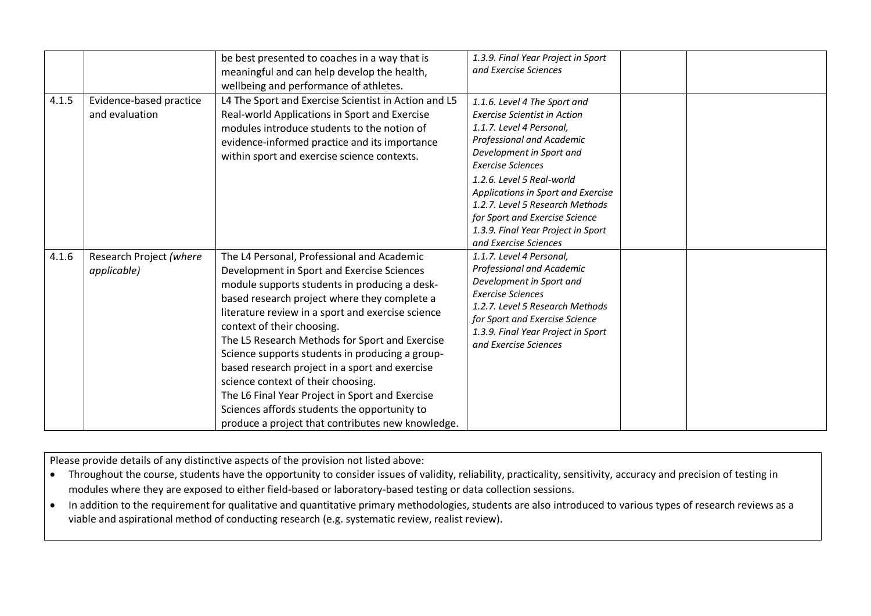|       |                                           | be best presented to coaches in a way that is<br>meaningful and can help develop the health,<br>wellbeing and performance of athletes.                                                                                                                                                                                                                                                                                                                                                                                                                                                                                            | 1.3.9. Final Year Project in Sport<br>and Exercise Sciences                                                                                                                                                                                                                                                                                                                                 |
|-------|-------------------------------------------|-----------------------------------------------------------------------------------------------------------------------------------------------------------------------------------------------------------------------------------------------------------------------------------------------------------------------------------------------------------------------------------------------------------------------------------------------------------------------------------------------------------------------------------------------------------------------------------------------------------------------------------|---------------------------------------------------------------------------------------------------------------------------------------------------------------------------------------------------------------------------------------------------------------------------------------------------------------------------------------------------------------------------------------------|
| 4.1.5 | Evidence-based practice<br>and evaluation | L4 The Sport and Exercise Scientist in Action and L5<br>Real-world Applications in Sport and Exercise<br>modules introduce students to the notion of<br>evidence-informed practice and its importance<br>within sport and exercise science contexts.                                                                                                                                                                                                                                                                                                                                                                              | 1.1.6. Level 4 The Sport and<br><b>Exercise Scientist in Action</b><br>1.1.7. Level 4 Personal,<br>Professional and Academic<br>Development in Sport and<br><b>Exercise Sciences</b><br>1.2.6. Level 5 Real-world<br>Applications in Sport and Exercise<br>1.2.7. Level 5 Research Methods<br>for Sport and Exercise Science<br>1.3.9. Final Year Project in Sport<br>and Exercise Sciences |
| 4.1.6 | Research Project (where<br>applicable)    | The L4 Personal, Professional and Academic<br>Development in Sport and Exercise Sciences<br>module supports students in producing a desk-<br>based research project where they complete a<br>literature review in a sport and exercise science<br>context of their choosing.<br>The L5 Research Methods for Sport and Exercise<br>Science supports students in producing a group-<br>based research project in a sport and exercise<br>science context of their choosing.<br>The L6 Final Year Project in Sport and Exercise<br>Sciences affords students the opportunity to<br>produce a project that contributes new knowledge. | 1.1.7. Level 4 Personal,<br>Professional and Academic<br>Development in Sport and<br><b>Exercise Sciences</b><br>1.2.7. Level 5 Research Methods<br>for Sport and Exercise Science<br>1.3.9. Final Year Project in Sport<br>and Exercise Sciences                                                                                                                                           |

• Throughout the course, students have the opportunity to consider issues of validity, reliability, practicality, sensitivity, accuracy and precision of testing in modules where they are exposed to either field-based or laboratory-based testing or data collection sessions.

• In addition to the requirement for qualitative and quantitative primary methodologies, students are also introduced to various types of research reviews as a viable and aspirational method of conducting research (e.g. systematic review, realist review).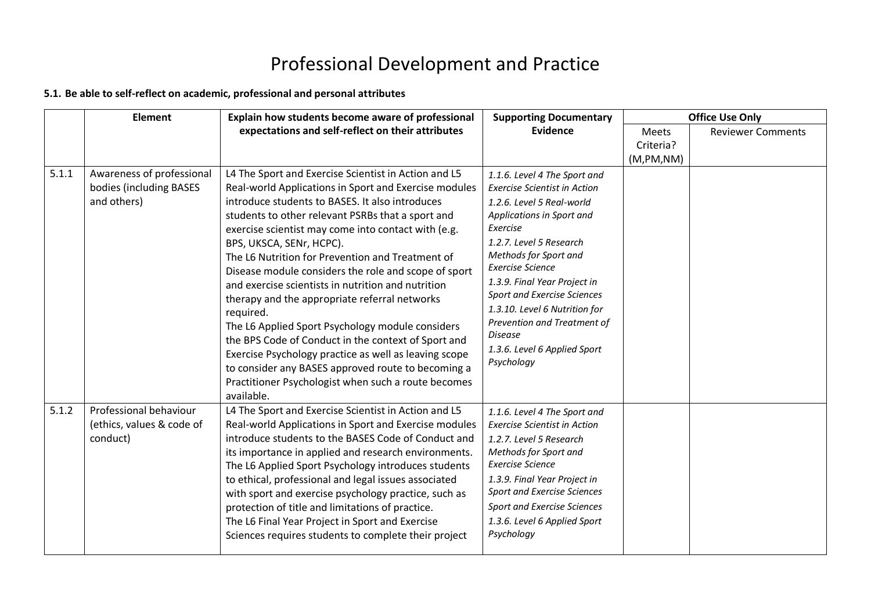### Professional Development and Practice

### **5.1. Be able to self-reflect on academic, professional and personal attributes**

|       | <b>Element</b>                                                      | Explain how students become aware of professional                                                                                                                                                                                                                                                                                                                                                                                                                                                                                                                                                                                                                                                                                                                                                                                       | <b>Supporting Documentary</b>                                                                                                                                                                                                                                                                                                                                                                                                  | <b>Office Use Only</b> |                          |
|-------|---------------------------------------------------------------------|-----------------------------------------------------------------------------------------------------------------------------------------------------------------------------------------------------------------------------------------------------------------------------------------------------------------------------------------------------------------------------------------------------------------------------------------------------------------------------------------------------------------------------------------------------------------------------------------------------------------------------------------------------------------------------------------------------------------------------------------------------------------------------------------------------------------------------------------|--------------------------------------------------------------------------------------------------------------------------------------------------------------------------------------------------------------------------------------------------------------------------------------------------------------------------------------------------------------------------------------------------------------------------------|------------------------|--------------------------|
|       |                                                                     | expectations and self-reflect on their attributes                                                                                                                                                                                                                                                                                                                                                                                                                                                                                                                                                                                                                                                                                                                                                                                       | <b>Evidence</b>                                                                                                                                                                                                                                                                                                                                                                                                                | <b>Meets</b>           | <b>Reviewer Comments</b> |
|       |                                                                     |                                                                                                                                                                                                                                                                                                                                                                                                                                                                                                                                                                                                                                                                                                                                                                                                                                         |                                                                                                                                                                                                                                                                                                                                                                                                                                | Criteria?              |                          |
|       |                                                                     |                                                                                                                                                                                                                                                                                                                                                                                                                                                                                                                                                                                                                                                                                                                                                                                                                                         |                                                                                                                                                                                                                                                                                                                                                                                                                                | (M,PM, NM)             |                          |
| 5.1.1 | Awareness of professional<br>bodies (including BASES<br>and others) | L4 The Sport and Exercise Scientist in Action and L5<br>Real-world Applications in Sport and Exercise modules<br>introduce students to BASES. It also introduces<br>students to other relevant PSRBs that a sport and<br>exercise scientist may come into contact with (e.g.<br>BPS, UKSCA, SENr, HCPC).<br>The L6 Nutrition for Prevention and Treatment of<br>Disease module considers the role and scope of sport<br>and exercise scientists in nutrition and nutrition<br>therapy and the appropriate referral networks<br>required.<br>The L6 Applied Sport Psychology module considers<br>the BPS Code of Conduct in the context of Sport and<br>Exercise Psychology practice as well as leaving scope<br>to consider any BASES approved route to becoming a<br>Practitioner Psychologist when such a route becomes<br>available. | 1.1.6. Level 4 The Sport and<br><b>Exercise Scientist in Action</b><br>1.2.6. Level 5 Real-world<br>Applications in Sport and<br>Exercise<br>1.2.7. Level 5 Research<br>Methods for Sport and<br><b>Exercise Science</b><br>1.3.9. Final Year Project in<br><b>Sport and Exercise Sciences</b><br>1.3.10. Level 6 Nutrition for<br>Prevention and Treatment of<br><b>Disease</b><br>1.3.6. Level 6 Applied Sport<br>Psychology |                        |                          |
| 5.1.2 | Professional behaviour<br>(ethics, values & code of<br>conduct)     | L4 The Sport and Exercise Scientist in Action and L5<br>Real-world Applications in Sport and Exercise modules<br>introduce students to the BASES Code of Conduct and<br>its importance in applied and research environments.<br>The L6 Applied Sport Psychology introduces students<br>to ethical, professional and legal issues associated<br>with sport and exercise psychology practice, such as<br>protection of title and limitations of practice.<br>The L6 Final Year Project in Sport and Exercise<br>Sciences requires students to complete their project                                                                                                                                                                                                                                                                      | 1.1.6. Level 4 The Sport and<br><b>Exercise Scientist in Action</b><br>1.2.7. Level 5 Research<br>Methods for Sport and<br><b>Exercise Science</b><br>1.3.9. Final Year Project in<br><b>Sport and Exercise Sciences</b><br><b>Sport and Exercise Sciences</b><br>1.3.6. Level 6 Applied Sport<br>Psychology                                                                                                                   |                        |                          |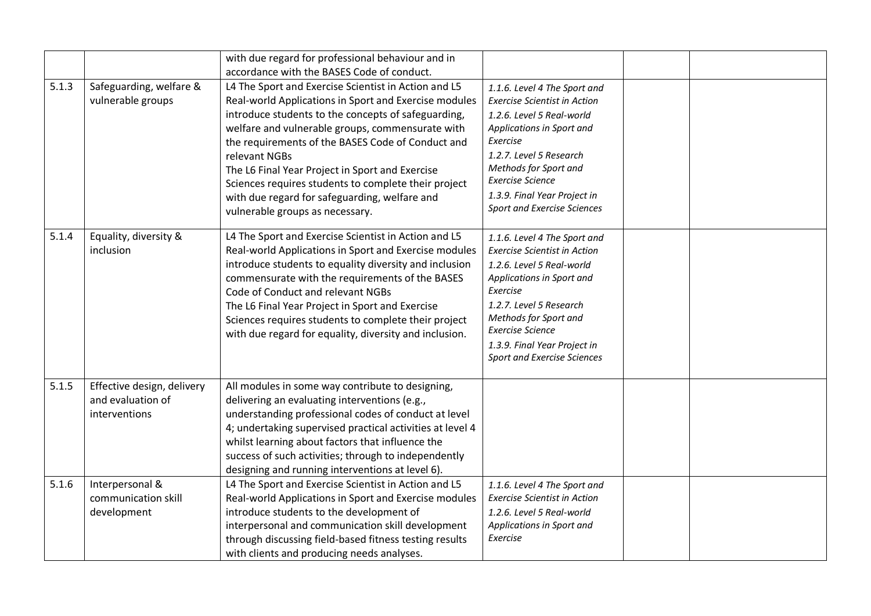|       |                            | with due regard for professional behaviour and in         |                                     |  |
|-------|----------------------------|-----------------------------------------------------------|-------------------------------------|--|
|       |                            | accordance with the BASES Code of conduct.                |                                     |  |
| 5.1.3 | Safeguarding, welfare &    | L4 The Sport and Exercise Scientist in Action and L5      | 1.1.6. Level 4 The Sport and        |  |
|       | vulnerable groups          | Real-world Applications in Sport and Exercise modules     | <b>Exercise Scientist in Action</b> |  |
|       |                            | introduce students to the concepts of safeguarding,       | 1.2.6. Level 5 Real-world           |  |
|       |                            | welfare and vulnerable groups, commensurate with          | Applications in Sport and           |  |
|       |                            | the requirements of the BASES Code of Conduct and         | Exercise                            |  |
|       |                            | relevant NGBs                                             | 1.2.7. Level 5 Research             |  |
|       |                            | The L6 Final Year Project in Sport and Exercise           | Methods for Sport and               |  |
|       |                            | Sciences requires students to complete their project      | <b>Exercise Science</b>             |  |
|       |                            | with due regard for safeguarding, welfare and             | 1.3.9. Final Year Project in        |  |
|       |                            | vulnerable groups as necessary.                           | <b>Sport and Exercise Sciences</b>  |  |
| 5.1.4 | Equality, diversity &      | L4 The Sport and Exercise Scientist in Action and L5      | 1.1.6. Level 4 The Sport and        |  |
|       | inclusion                  | Real-world Applications in Sport and Exercise modules     | <b>Exercise Scientist in Action</b> |  |
|       |                            | introduce students to equality diversity and inclusion    | 1.2.6. Level 5 Real-world           |  |
|       |                            | commensurate with the requirements of the BASES           | Applications in Sport and           |  |
|       |                            | Code of Conduct and relevant NGBs                         | Exercise                            |  |
|       |                            | The L6 Final Year Project in Sport and Exercise           | 1.2.7. Level 5 Research             |  |
|       |                            | Sciences requires students to complete their project      | Methods for Sport and               |  |
|       |                            | with due regard for equality, diversity and inclusion.    | <b>Exercise Science</b>             |  |
|       |                            |                                                           | 1.3.9. Final Year Project in        |  |
|       |                            |                                                           | <b>Sport and Exercise Sciences</b>  |  |
| 5.1.5 | Effective design, delivery | All modules in some way contribute to designing,          |                                     |  |
|       | and evaluation of          | delivering an evaluating interventions (e.g.,             |                                     |  |
|       | interventions              | understanding professional codes of conduct at level      |                                     |  |
|       |                            | 4; undertaking supervised practical activities at level 4 |                                     |  |
|       |                            | whilst learning about factors that influence the          |                                     |  |
|       |                            | success of such activities; through to independently      |                                     |  |
|       |                            | designing and running interventions at level 6).          |                                     |  |
| 5.1.6 | Interpersonal &            | L4 The Sport and Exercise Scientist in Action and L5      | 1.1.6. Level 4 The Sport and        |  |
|       | communication skill        | Real-world Applications in Sport and Exercise modules     | <b>Exercise Scientist in Action</b> |  |
|       | development                | introduce students to the development of                  | 1.2.6. Level 5 Real-world           |  |
|       |                            | interpersonal and communication skill development         | Applications in Sport and           |  |
|       |                            | through discussing field-based fitness testing results    | Exercise                            |  |
|       |                            | with clients and producing needs analyses.                |                                     |  |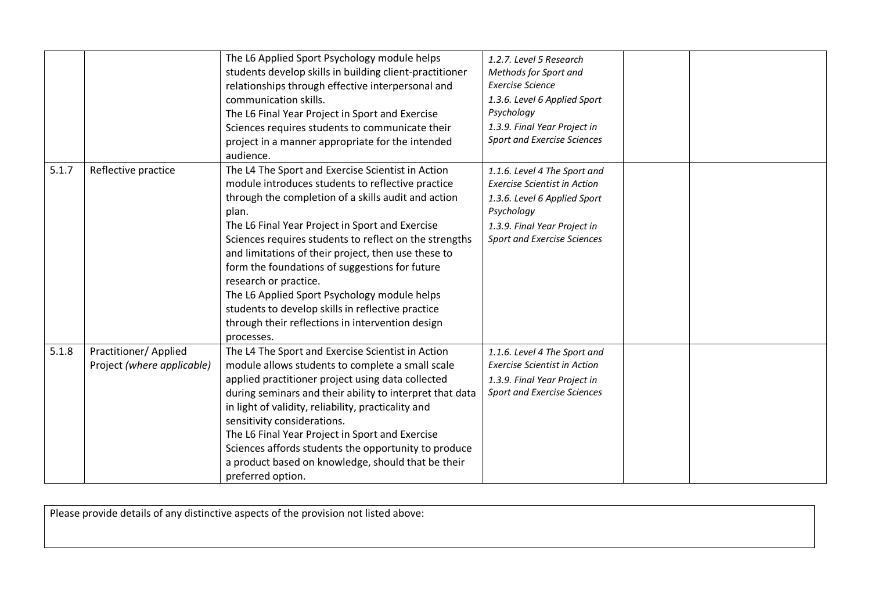|       |                                                     | The L6 Applied Sport Psychology module helps<br>students develop skills in building client-practitioner<br>relationships through effective interpersonal and<br>communication skills.<br>The L6 Final Year Project in Sport and Exercise<br>Sciences requires students to communicate their<br>project in a manner appropriate for the intended<br>audience.                                                                                                                                                                                                                                 | 1.2.7. Level 5 Research<br>Methods for Sport and<br>Exercise Science<br>1.3.6. Level 6 Applied Sport<br>Psychology<br>1.3.9. Final Year Project in<br><b>Sport and Exercise Sciences</b> |  |
|-------|-----------------------------------------------------|----------------------------------------------------------------------------------------------------------------------------------------------------------------------------------------------------------------------------------------------------------------------------------------------------------------------------------------------------------------------------------------------------------------------------------------------------------------------------------------------------------------------------------------------------------------------------------------------|------------------------------------------------------------------------------------------------------------------------------------------------------------------------------------------|--|
| 5.1.7 | Reflective practice                                 | The L4 The Sport and Exercise Scientist in Action<br>module introduces students to reflective practice<br>through the completion of a skills audit and action<br>plan.<br>The L6 Final Year Project in Sport and Exercise<br>Sciences requires students to reflect on the strengths<br>and limitations of their project, then use these to<br>form the foundations of suggestions for future<br>research or practice.<br>The L6 Applied Sport Psychology module helps<br>students to develop skills in reflective practice<br>through their reflections in intervention design<br>processes. | 1.1.6. Level 4 The Sport and<br><b>Exercise Scientist in Action</b><br>1.3.6. Level 6 Applied Sport<br>Psychology<br>1.3.9. Final Year Project in<br><b>Sport and Exercise Sciences</b>  |  |
| 5.1.8 | Practitioner/ Applied<br>Project (where applicable) | The L4 The Sport and Exercise Scientist in Action<br>module allows students to complete a small scale<br>applied practitioner project using data collected<br>during seminars and their ability to interpret that data<br>in light of validity, reliability, practicality and<br>sensitivity considerations.<br>The L6 Final Year Project in Sport and Exercise<br>Sciences affords students the opportunity to produce<br>a product based on knowledge, should that be their<br>preferred option.                                                                                           | 1.1.6. Level 4 The Sport and<br><b>Exercise Scientist in Action</b><br>1.3.9. Final Year Project in<br><b>Sport and Exercise Sciences</b>                                                |  |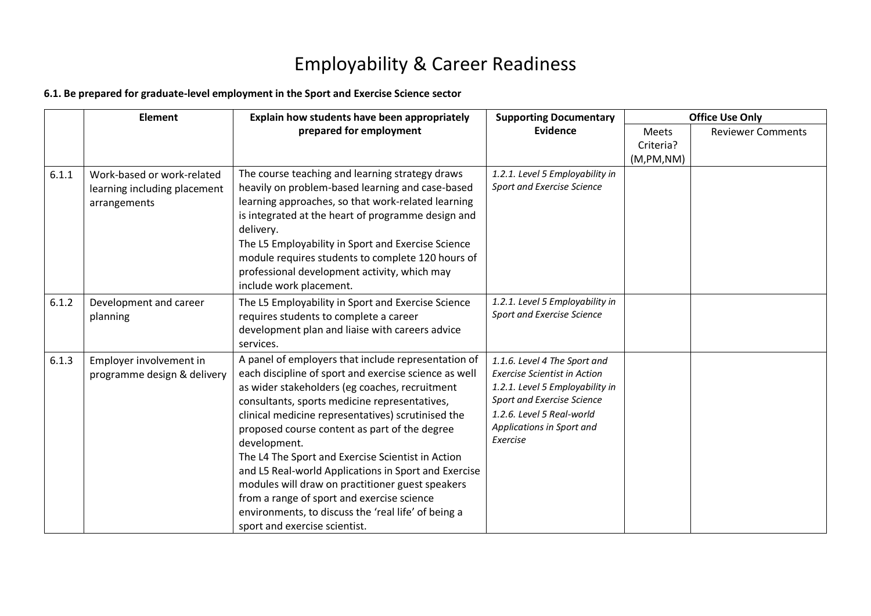# Employability & Career Readiness

#### **6.1. Be prepared for graduate-level employment in the Sport and Exercise Science sector**

|       | Element                                                                    | Explain how students have been appropriately                                                                                                                                                                                                                                                                                                                                                                                                                                                                                                                                                                                                  | <b>Supporting Documentary</b>                                                                                                                                                                              |              | <b>Office Use Only</b>   |  |
|-------|----------------------------------------------------------------------------|-----------------------------------------------------------------------------------------------------------------------------------------------------------------------------------------------------------------------------------------------------------------------------------------------------------------------------------------------------------------------------------------------------------------------------------------------------------------------------------------------------------------------------------------------------------------------------------------------------------------------------------------------|------------------------------------------------------------------------------------------------------------------------------------------------------------------------------------------------------------|--------------|--------------------------|--|
|       |                                                                            | prepared for employment                                                                                                                                                                                                                                                                                                                                                                                                                                                                                                                                                                                                                       | <b>Evidence</b>                                                                                                                                                                                            | <b>Meets</b> | <b>Reviewer Comments</b> |  |
|       |                                                                            |                                                                                                                                                                                                                                                                                                                                                                                                                                                                                                                                                                                                                                               |                                                                                                                                                                                                            | Criteria?    |                          |  |
|       |                                                                            |                                                                                                                                                                                                                                                                                                                                                                                                                                                                                                                                                                                                                                               |                                                                                                                                                                                                            | (M,PM, NM)   |                          |  |
| 6.1.1 | Work-based or work-related<br>learning including placement<br>arrangements | The course teaching and learning strategy draws<br>heavily on problem-based learning and case-based<br>learning approaches, so that work-related learning<br>is integrated at the heart of programme design and<br>delivery.<br>The L5 Employability in Sport and Exercise Science<br>module requires students to complete 120 hours of<br>professional development activity, which may<br>include work placement.                                                                                                                                                                                                                            | 1.2.1. Level 5 Employability in<br>Sport and Exercise Science                                                                                                                                              |              |                          |  |
| 6.1.2 | Development and career<br>planning                                         | The L5 Employability in Sport and Exercise Science<br>requires students to complete a career<br>development plan and liaise with careers advice<br>services.                                                                                                                                                                                                                                                                                                                                                                                                                                                                                  | 1.2.1. Level 5 Employability in<br>Sport and Exercise Science                                                                                                                                              |              |                          |  |
| 6.1.3 | Employer involvement in<br>programme design & delivery                     | A panel of employers that include representation of<br>each discipline of sport and exercise science as well<br>as wider stakeholders (eg coaches, recruitment<br>consultants, sports medicine representatives,<br>clinical medicine representatives) scrutinised the<br>proposed course content as part of the degree<br>development.<br>The L4 The Sport and Exercise Scientist in Action<br>and L5 Real-world Applications in Sport and Exercise<br>modules will draw on practitioner guest speakers<br>from a range of sport and exercise science<br>environments, to discuss the 'real life' of being a<br>sport and exercise scientist. | 1.1.6. Level 4 The Sport and<br><b>Exercise Scientist in Action</b><br>1.2.1. Level 5 Employability in<br>Sport and Exercise Science<br>1.2.6. Level 5 Real-world<br>Applications in Sport and<br>Exercise |              |                          |  |